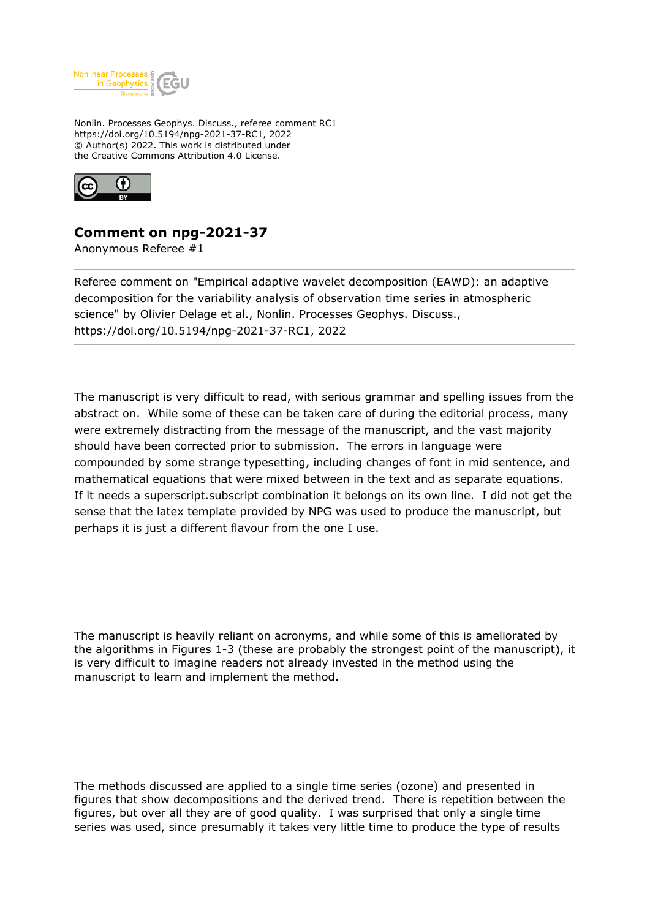

Nonlin. Processes Geophys. Discuss., referee comment RC1 https://doi.org/10.5194/npg-2021-37-RC1, 2022 © Author(s) 2022. This work is distributed under the Creative Commons Attribution 4.0 License.



## **Comment on npg-2021-37**

Anonymous Referee #1

Referee comment on "Empirical adaptive wavelet decomposition (EAWD): an adaptive decomposition for the variability analysis of observation time series in atmospheric science" by Olivier Delage et al., Nonlin. Processes Geophys. Discuss., https://doi.org/10.5194/npg-2021-37-RC1, 2022

The manuscript is very difficult to read, with serious grammar and spelling issues from the abstract on. While some of these can be taken care of during the editorial process, many were extremely distracting from the message of the manuscript, and the vast majority should have been corrected prior to submission. The errors in language were compounded by some strange typesetting, including changes of font in mid sentence, and mathematical equations that were mixed between in the text and as separate equations. If it needs a superscript.subscript combination it belongs on its own line. I did not get the sense that the latex template provided by NPG was used to produce the manuscript, but perhaps it is just a different flavour from the one I use.

The manuscript is heavily reliant on acronyms, and while some of this is ameliorated by the algorithms in Figures 1-3 (these are probably the strongest point of the manuscript), it is very difficult to imagine readers not already invested in the method using the manuscript to learn and implement the method.

The methods discussed are applied to a single time series (ozone) and presented in figures that show decompositions and the derived trend. There is repetition between the figures, but over all they are of good quality. I was surprised that only a single time series was used, since presumably it takes very little time to produce the type of results